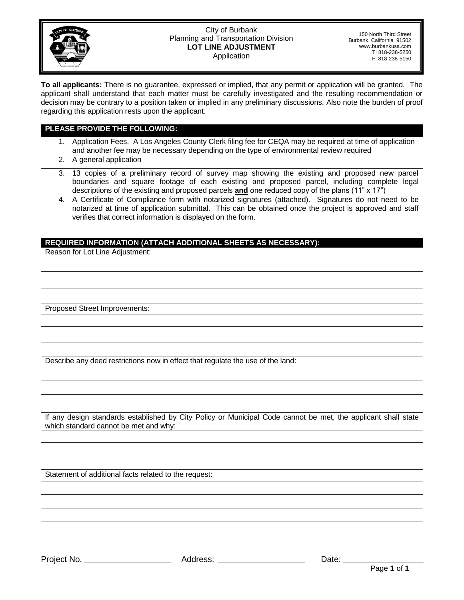

## City of Burbank Planning and Transportation Division **LOT LINE ADJUSTMENT** Application

150 North Third Street Burbank, California 91502 www.burbankusa.com T: 818-238-5250 F: 818-238-5150

**To all applicants:** There is no guarantee, expressed or implied, that any permit or application will be granted. The applicant shall understand that each matter must be carefully investigated and the resulting recommendation or decision may be contrary to a position taken or implied in any preliminary discussions. Also note the burden of proof regarding this application rests upon the applicant.

## **PLEASE PROVIDE THE FOLLOWING:**

- 1. Application Fees. A Los Angeles County Clerk filing fee for CEQA may be required at time of application and another fee may be necessary depending on the type of environmental review required
- 2. A general application
- 3. 13 copies of a preliminary record of survey map showing the existing and proposed new parcel boundaries and square footage of each existing and proposed parcel, including complete legal descriptions of the existing and proposed parcels **and** one reduced copy of the plans (11" x 17")
- 4. A Certificate of Compliance form with notarized signatures (attached). Signatures do not need to be notarized at time of application submittal. This can be obtained once the project is approved and staff verifies that correct information is displayed on the form.

## **REQUIRED INFORMATION (ATTACH ADDITIONAL SHEETS AS NECESSARY):**

Reason for Lot Line Adjustment:

Proposed Street Improvements:

Describe any deed restrictions now in effect that regulate the use of the land:

If any design standards established by City Policy or Municipal Code cannot be met, the applicant shall state which standard cannot be met and why:

Statement of additional facts related to the request:

Project No. Address: Date: